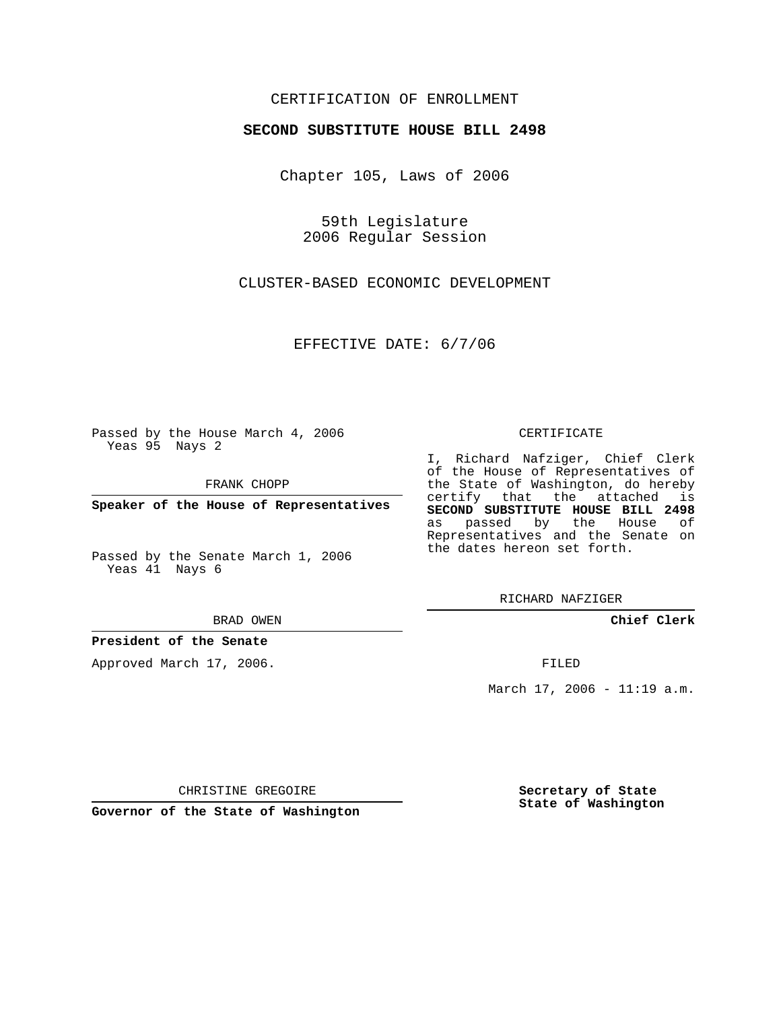## CERTIFICATION OF ENROLLMENT

### **SECOND SUBSTITUTE HOUSE BILL 2498**

Chapter 105, Laws of 2006

59th Legislature 2006 Regular Session

CLUSTER-BASED ECONOMIC DEVELOPMENT

EFFECTIVE DATE: 6/7/06

Passed by the House March 4, 2006 Yeas 95 Nays 2

FRANK CHOPP

**Speaker of the House of Representatives**

Passed by the Senate March 1, 2006 Yeas 41 Nays 6

#### BRAD OWEN

### **President of the Senate**

Approved March 17, 2006.

#### CERTIFICATE

I, Richard Nafziger, Chief Clerk of the House of Representatives of the State of Washington, do hereby certify that the attached is **SECOND SUBSTITUTE HOUSE BILL 2498** as passed by the House of Representatives and the Senate on the dates hereon set forth.

RICHARD NAFZIGER

**Chief Clerk**

FILED

March 17, 2006 - 11:19 a.m.

CHRISTINE GREGOIRE

**Governor of the State of Washington**

**Secretary of State State of Washington**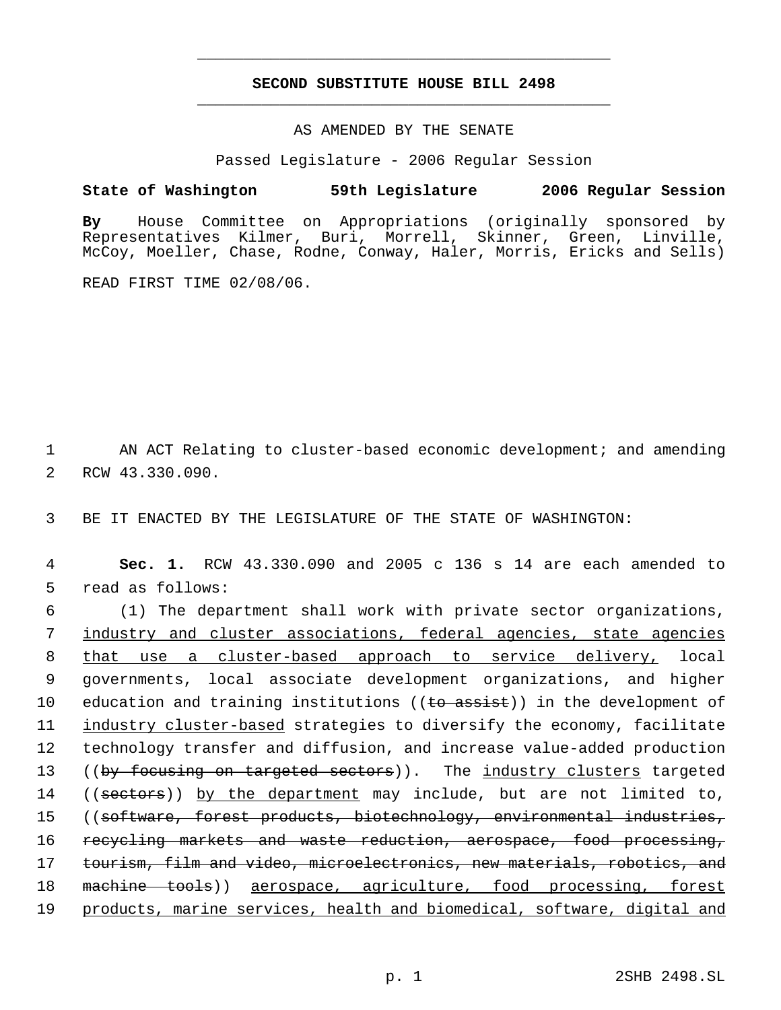# **SECOND SUBSTITUTE HOUSE BILL 2498** \_\_\_\_\_\_\_\_\_\_\_\_\_\_\_\_\_\_\_\_\_\_\_\_\_\_\_\_\_\_\_\_\_\_\_\_\_\_\_\_\_\_\_\_\_

\_\_\_\_\_\_\_\_\_\_\_\_\_\_\_\_\_\_\_\_\_\_\_\_\_\_\_\_\_\_\_\_\_\_\_\_\_\_\_\_\_\_\_\_\_

### AS AMENDED BY THE SENATE

Passed Legislature - 2006 Regular Session

## **State of Washington 59th Legislature 2006 Regular Session**

**By** House Committee on Appropriations (originally sponsored by Representatives Kilmer, Buri, Morrell, Skinner, Green, Linville, McCoy, Moeller, Chase, Rodne, Conway, Haler, Morris, Ericks and Sells)

READ FIRST TIME 02/08/06.

1 AN ACT Relating to cluster-based economic development; and amending 2 RCW 43.330.090.

3 BE IT ENACTED BY THE LEGISLATURE OF THE STATE OF WASHINGTON:

 4 **Sec. 1.** RCW 43.330.090 and 2005 c 136 s 14 are each amended to 5 read as follows:

 6 (1) The department shall work with private sector organizations, 7 industry and cluster associations, federal agencies, state agencies 8 that use a cluster-based approach to service delivery, local 9 governments, local associate development organizations, and higher 10 education and training institutions ((to assist)) in the development of 11 industry cluster-based strategies to diversify the economy, facilitate 12 technology transfer and diffusion, and increase value-added production 13 ((by focusing on targeted sectors)). The industry clusters targeted 14 ((sectors)) by the department may include, but are not limited to, 15 ((software, forest products, biotechnology, environmental industries, 16 recycling markets and waste reduction, aerospace, food processing, 17 tourism, film and video, microelectronics, new materials, robotics, and 18 machine tools)) aerospace, agriculture, food processing, forest 19 products, marine services, health and biomedical, software, digital and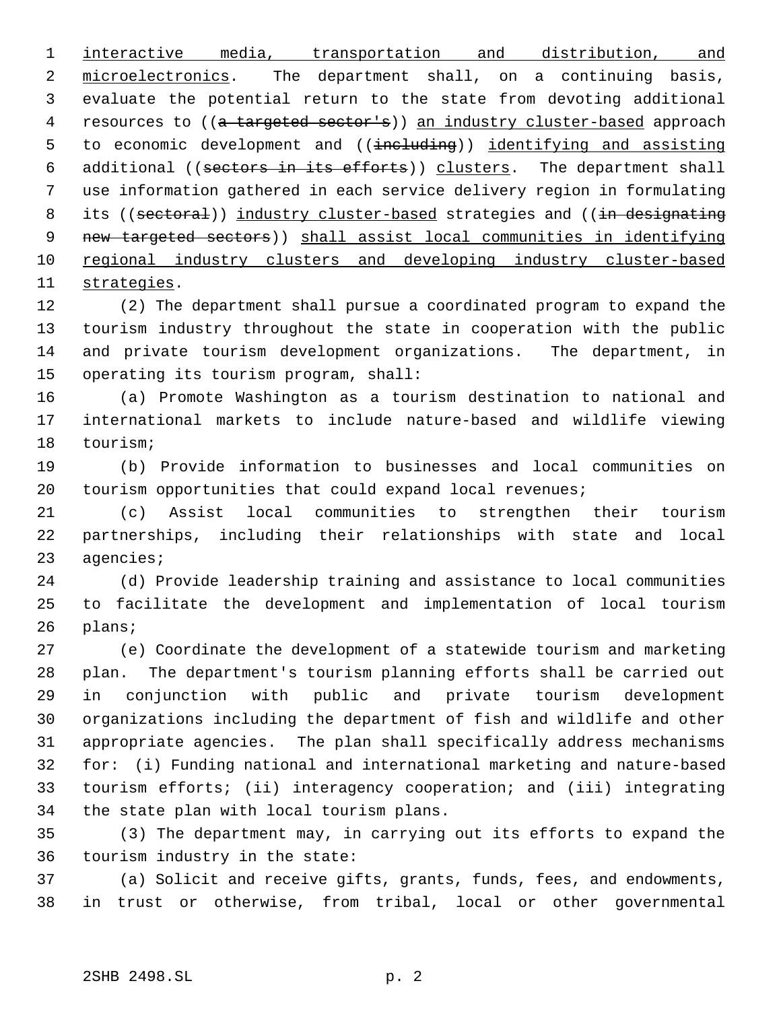interactive media, transportation and distribution, and 2 microelectronics. The department shall, on a continuing basis, evaluate the potential return to the state from devoting additional 4 resources to ((a targeted sector's)) an industry cluster-based approach 5 to economic development and ((including)) identifying and assisting 6 additional ((sectors in its efforts)) clusters. The department shall use information gathered in each service delivery region in formulating 8 its ((sectoral)) industry cluster-based strategies and ((in designating new targeted sectors)) shall assist local communities in identifying 10 regional industry clusters and developing industry cluster-based strategies.

 (2) The department shall pursue a coordinated program to expand the tourism industry throughout the state in cooperation with the public and private tourism development organizations. The department, in operating its tourism program, shall:

 (a) Promote Washington as a tourism destination to national and international markets to include nature-based and wildlife viewing tourism;

 (b) Provide information to businesses and local communities on tourism opportunities that could expand local revenues;

 (c) Assist local communities to strengthen their tourism partnerships, including their relationships with state and local agencies;

 (d) Provide leadership training and assistance to local communities to facilitate the development and implementation of local tourism plans;

 (e) Coordinate the development of a statewide tourism and marketing plan. The department's tourism planning efforts shall be carried out in conjunction with public and private tourism development organizations including the department of fish and wildlife and other appropriate agencies. The plan shall specifically address mechanisms for: (i) Funding national and international marketing and nature-based tourism efforts; (ii) interagency cooperation; and (iii) integrating the state plan with local tourism plans.

 (3) The department may, in carrying out its efforts to expand the tourism industry in the state:

 (a) Solicit and receive gifts, grants, funds, fees, and endowments, in trust or otherwise, from tribal, local or other governmental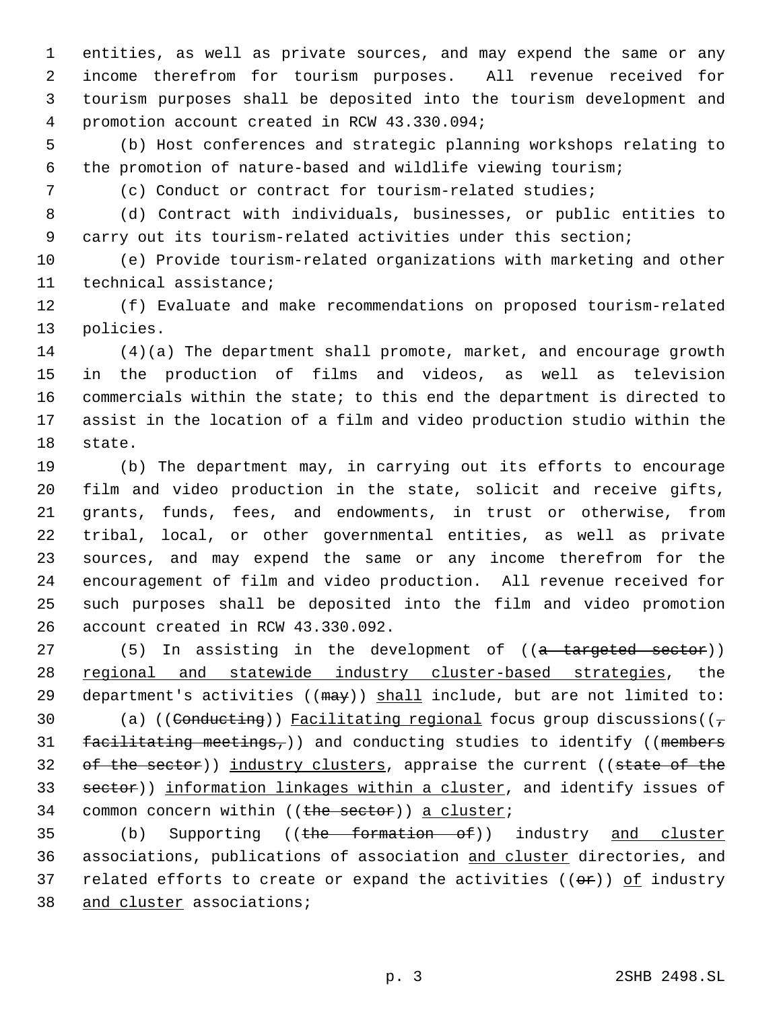entities, as well as private sources, and may expend the same or any income therefrom for tourism purposes. All revenue received for tourism purposes shall be deposited into the tourism development and promotion account created in RCW 43.330.094;

 (b) Host conferences and strategic planning workshops relating to the promotion of nature-based and wildlife viewing tourism;

(c) Conduct or contract for tourism-related studies;

(d) Contract with individuals, businesses, or public entities to

carry out its tourism-related activities under this section;

 (e) Provide tourism-related organizations with marketing and other technical assistance;

 (f) Evaluate and make recommendations on proposed tourism-related policies.

 (4)(a) The department shall promote, market, and encourage growth in the production of films and videos, as well as television commercials within the state; to this end the department is directed to assist in the location of a film and video production studio within the state.

 (b) The department may, in carrying out its efforts to encourage film and video production in the state, solicit and receive gifts, grants, funds, fees, and endowments, in trust or otherwise, from tribal, local, or other governmental entities, as well as private sources, and may expend the same or any income therefrom for the encouragement of film and video production. All revenue received for such purposes shall be deposited into the film and video promotion account created in RCW 43.330.092.

27 (5) In assisting in the development of ((a targeted sector)) 28 regional and statewide industry cluster-based strategies, the 29 department's activities ( $(\text{max})$ ) shall include, but are not limited to: 30 (a) ((Conducting)) Facilitating regional focus group discussions( $(\tau$ 31 facilitating meetings,)) and conducting studies to identify ((members 32 of the sector)) industry clusters, appraise the current ((state of the 33 sector)) information linkages within a cluster, and identify issues of 34 common concern within ((the sector)) a cluster;

35 (b) Supporting ((the formation of)) industry and cluster associations, publications of association and cluster directories, and 37 related efforts to create or expand the activities  $((e^p))$  of industry 38 and cluster associations;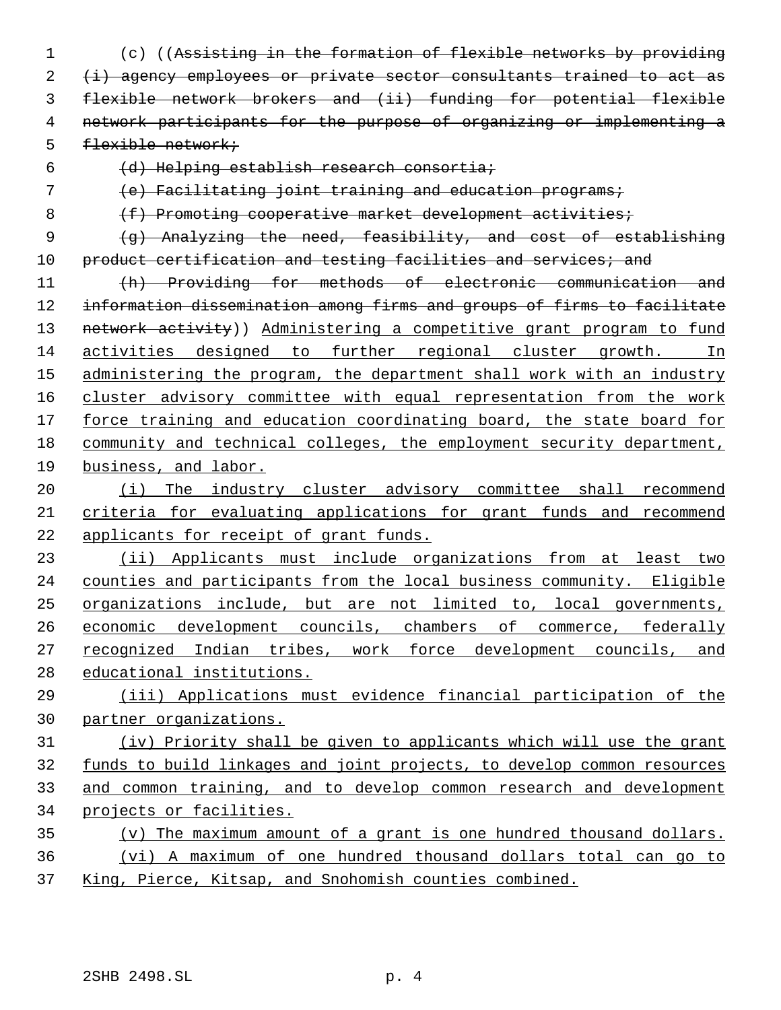- (c) ((Assisting in the formation of flexible networks by providing 2 (i) agency employees or private sector consultants trained to act as flexible network brokers and (ii) funding for potential flexible network participants for the purpose of organizing or implementing a flexible network;
- 

(d) Helping establish research consortia;

(e) Facilitating joint training and education programs;

8 (f) Promoting cooperative market development activities;

 (g) Analyzing the need, feasibility, and cost of establishing 10 product certification and testing facilities and services; and

 (h) Providing for methods of electronic communication and information dissemination among firms and groups of firms to facilitate 13 network activity)) Administering a competitive grant program to fund activities designed to further regional cluster growth. In 15 administering the program, the department shall work with an industry cluster advisory committee with equal representation from the work force training and education coordinating board, the state board for community and technical colleges, the employment security department, business, and labor.

20 (i) The industry cluster advisory committee shall recommend criteria for evaluating applications for grant funds and recommend applicants for receipt of grant funds.

 (ii) Applicants must include organizations from at least two counties and participants from the local business community. Eligible organizations include, but are not limited to, local governments, 26 economic development councils, chambers of commerce, federally recognized Indian tribes, work force development councils, and educational institutions.

 (iii) Applications must evidence financial participation of the partner organizations.

 (iv) Priority shall be given to applicants which will use the grant funds to build linkages and joint projects, to develop common resources and common training, and to develop common research and development projects or facilities.

 (v) The maximum amount of a grant is one hundred thousand dollars. (vi) A maximum of one hundred thousand dollars total can go to King, Pierce, Kitsap, and Snohomish counties combined.